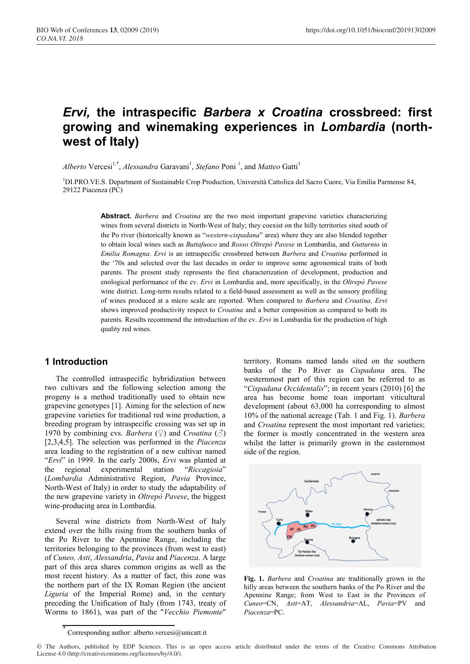# *Ervi,* **the intraspecific** *Barbera x Croatina* **crossbreed: first growing and winemaking experiences in** *Lombardia* **(northwest of Italy)**

Alberto Vercesi<sup>1,\*</sup>, *Alessandra* Garavani<sup>1</sup>, *Stefano* Poni<sup>1</sup>, and *Matteo* Gatti<sup>1</sup>

<sup>1</sup>DI.PRO.VE.S. Department of Sustainable Crop Production, Università Cattolica del Sacro Cuore, Via Emilia Parmense 84, 29122 Piacenza (PC)

> **Abstract.** *Barbera* and *Croatina* are the two most important grapevine varieties characterizing wines from several districts in North-West of Italy; they coexist on the hilly territories sited south of the Po river (historically known as "*western-cispadana*" area) where they are also blended together to obtain local wines such as *Buttafuoco* and *Rosso Oltrepò Pavese* in Lombardia, and *Gutturnio* in *Emilia Romagna*. *Ervi* is an intraspecific crossbreed between *Barbera* and *Croatina* performed in the '70s and selected over the last decades in order to improve some agronomical traits of both parents. The present study represents the first characterization of development, production and enological performance of the cv. *Ervi* in Lombardia and, more specifically, in the *Oltrepò Pavese* wine district. Long-term results related to a field-based assessment as well as the sensory profiling of wines produced at a micro scale are reported. When compared to *Barbera* and *Croatina, Ervi* shows improved productivity respect to *Croatina* and a better composition as compared to both its parents. Results recommend the introduction of the cv. *Ervi* in Lombardia for the production of high quality red wines.

#### **1 Introduction**

The controlled intraspecific hybridization between two cultivars and the following selection among the progeny is a method traditionally used to obtain new grapevine genotypes [1]. Aiming for the selection of new grapevine varieties for traditional red wine production, a breeding program by intraspecific crossing was set up in 1970 by combining cvs. *Barbera*  $(\frac{6}{2})$  and *Croatina*  $(\frac{3}{2})$ [2,3,4,5]. The selection was performed in the *Piacenza* area leading to the registration of a new cultivar named "*Ervi*" in 1999. In the early 2000s, *Ervi* was planted at the regional experimental station "*Riccagioia*" (*Lombardia* Administrative Region, *Pavia* Province, North-West of Italy) in order to study the adaptability of the new grapevine variety in *Oltrepò Pavese*, the biggest wine-producing area in Lombardia.

Several wine districts from North-West of Italy extend over the hills rising from the southern banks of the Po River to the Apennine Range, including the territories belonging to the provinces (from west to east) of *Cuneo, Asti*, *Alessandria*, *Pavia* and *Piacenza*. A large part of this area shares common origins as well as the most recent history. As a matter of fact, this zone was the northern part of the IX Roman Region (the ancient *Liguria* of the Imperial Rome) and, in the century preceding the Unification of Italy (from 1743, treaty of Worms to 1861), was part of the "*Vecchio Piemonte*"

territory. Romans named lands sited on the southern banks of the Po River as *Cispadana* area. The westernmost part of this region can be referred to as "*Cispadana Occidentalis*"; in recent years (2010) [6] the area has become home toan important viticultural development (about 63,000 ha corresponding to almost 10% of the national acreage (Tab. 1 and Fig. 1). *Barbera* and *Croatina* represent the most important red varieties; the former is mostly concentrated in the western area whilst the latter is primarily grown in the easternmost side of the region.



**Fig. 1.** *Barbera* and *Croatina* are traditionally grown in the hilly areas between the southern banks of the Po River and the Apennine Range; from West to East in the Provinces of *Cuneo*=CN, *Asti*=AT, *Alessandria*=AL, *Pavia*=PV and *Piacenza*=PC.

© The Authors, published by EDP Sciences. This is an open access article distributed under the terms of the Creative Commons Attribution License 4.0 (http://creativecommons.org/licenses/by/4.0/).

<sup>\*</sup> Corresponding author: alberto.vercesi@unicatt.it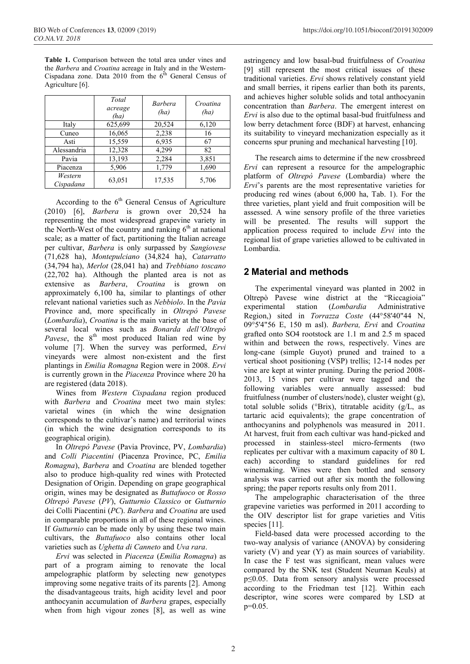**Table 1.** Comparison between the total area under vines and the *Barbera* and *Croatina* acreage in Italy and in the Western-Cispadana zone. Data 2010 from the  $6^{th}$  General Census of Agriculture [6].

|                      | Total<br>acreage<br>(ha) | <b>Barbera</b><br>(ha) | Croatina<br>(ha) |
|----------------------|--------------------------|------------------------|------------------|
| Italy                | 625,699                  | 20,524                 | 6,120            |
| Cuneo                | 16,065                   | 2,238                  | 16               |
| Asti                 | 15,559                   | 6,935                  | 67               |
| Alessandria          | 12,328                   | 4,299                  | 82               |
| Pavia                | 13,193                   | 2,284                  | 3,851            |
| Piacenza             | 5,906                    | 1,779                  | 1,690            |
| Western<br>Cispadana | 63,051                   | 17,535                 | 5,706            |

According to the  $6<sup>th</sup>$  General Census of Agriculture (2010) [6], *Barbera* is grown over 20,524 ha representing the most widespread grapevine variety in the North-West of the country and ranking  $6<sup>th</sup>$  at national scale; as a matter of fact, partitioning the Italian acreage per cultivar, *Barbera* is only surpassed by *Sangiovese* (71,628 ha), *Montepulciano* (34,824 ha), *Catarratto* (34,794 ha), *Merlot* (28,041 ha) and *Trebbiano toscano* (22,702 ha). Although the planted area is not as extensive as *Barbera*, *Croatina* is grown on approximately 6,100 ha, similar to plantings of other relevant national varieties such as *Nebbiolo*. In the *Pavia* Province and, more specifically in *Oltrepò Pavese* (*Lombardia*), *Croatina* is the main variety at the base of several local wines such as *Bonarda dell'Oltrepò Pavese*, the 8<sup>th</sup> most produced Italian red wine by volume [7]. When the survey was performed, *Ervi* vineyards were almost non-existent and the first plantings in *Emilia Romagna* Region were in 2008. *Ervi* is currently grown in the *Piacenza* Province where 20 ha are registered (data 2018).

Wines from *Western Cispadana* region produced with *Barbera* and *Croatina* meet two main styles: varietal wines (in which the wine designation corresponds to the cultivar's name) and territorial wines (in which the wine designation corresponds to its geographical origin).

In *Oltrepò Pavese* (Pavia Province, PV, *Lombardia*) and *Colli Piacentini* (Piacenza Province, PC, *Emilia Romagna*), *Barbera* and *Croatina* are blended together also to produce high-quality red wines with Protected Designation of Origin. Depending on grape geographical origin, wines may be designated as *Buttafuoco* or *Rosso Oltrepò Pavese* (*PV*), *Gutturnio Classico* or *Gutturnio* dei Colli Piacentini (*PC*). *Barbera* and *Croatina* are used in comparable proportions in all of these regional wines. If *Gutturnio* can be made only by using these two main cultivars, the *Buttafuoco* also contains other local varieties such as *Ughetta di Canneto* and *Uva rara*.

*Ervi* was selected in *Piacenza* (*Emilia Romagna*) as part of a program aiming to renovate the local ampelographic platform by selecting new genotypes improving some negative traits of its parents [2]. Among the disadvantageous traits, high acidity level and poor anthocyanin accumulation of *Barbera* grapes, especially when from high vigour zones [8], as well as wine

astringency and low basal-bud fruitfulness of *Croatina* [9] still represent the most critical issues of these traditional varieties. *Ervi* shows relatively constant yield and small berries, it ripens earlier than both its parents, and achieves higher soluble solids and total anthocyanin concentration than *Barbera*. The emergent interest on *Ervi* is also due to the optimal basal-bud fruitfulness and low berry detachment force (BDF) at harvest, enhancing its suitability to vineyard mechanization especially as it concerns spur pruning and mechanical harvesting [10].

The research aims to determine if the new crossbreed *Ervi* can represent a resource for the ampelographic platform of *Oltrepò Pavese* (Lombardia) where the *Ervi*'s parents are the most representative varieties for producing red wines (about 6,000 ha, Tab. 1). For the three varieties, plant yield and fruit composition will be assessed. A wine sensory profile of the three varieties will be presented. The results will support the application process required to include *Ervi* into the regional list of grape varieties allowed to be cultivated in Lombardia.

# **2 Material and methods**

The experimental vineyard was planted in 2002 in Oltrepò Pavese wine district at the "Riccagioia" experimental station (*Lombardia* Administrative Region,) sited in *Torrazza Coste* (44°58'40"44 N, 09°5'4"56 E, 150 m asl). *Barbera, Ervi* and *Croatina* grafted onto SO4 rootstock are 1.1 m and 2.5 m spaced within and between the rows, respectively. Vines are long-cane (simple Guyot) pruned and trained to a vertical shoot positioning (VSP) trellis; 12-14 nodes per vine are kept at winter pruning. During the period 2008- 2013, 15 vines per cultivar were tagged and the following variables were annually assessed: bud fruitfulness (number of clusters/node), cluster weight (g), total soluble solids (°Brix), titratable acidity (g/L, as tartaric acid equivalents); the grape concentration of anthocyanins and polyphenols was measured in 2011. At harvest, fruit from each cultivar was hand-picked and processed in stainless-steel micro-ferments (two replicates per cultivar with a maximum capacity of 80 L each) according to standard guidelines for red winemaking. Wines were then bottled and sensory analysis was carried out after six month the following spring; the paper reports results only from 2011.

The ampelographic characterisation of the three grapevine varieties was performed in 2011 according to the OIV descriptor list for grape varieties and Vitis species [11].

Field-based data were processed according to the two-way analysis of variance (ANOVA) by considering variety (V) and year (Y) as main sources of variability. In case the F test was significant, mean values were compared by the SNK test (Student Neuman Keuls) at p≤0.05. Data from sensory analysis were processed according to the Friedman test [12]. Within each descriptor, wine scores were compared by LSD at p=0.05.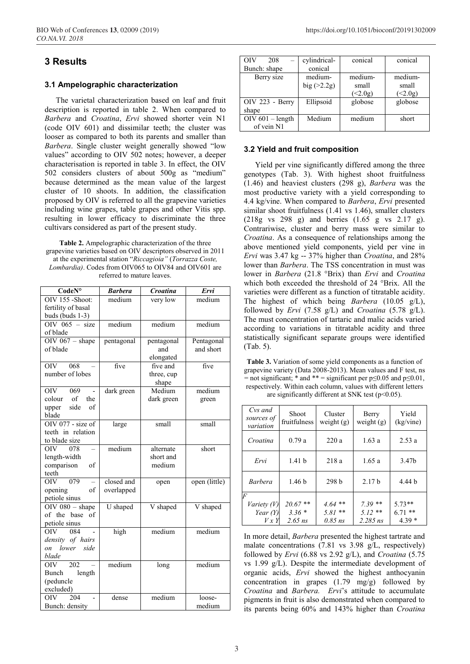## **3 Results**

#### **3.1 Ampelographic characterization**

The varietal characterization based on leaf and fruit description is reported in table 2. When compared to *Barbera* and *Croatina*, *Ervi* showed shorter vein N1 (code OIV 601) and dissimilar teeth; the cluster was looser as compared to both its parents and smaller than *Barbera*. Single cluster weight generally showed "low values" according to OIV 502 notes; however, a deeper characterisation is reported in table 3. In effect, the OIV 502 considers clusters of about 500g as "medium" because determined as the mean value of the largest cluster of 10 shoots. In addition, the classification proposed by OIV is referred to all the grapevine varieties including wine grapes, table grapes and other Vitis spp. resulting in lower efficacy to discriminate the three cultivars considered as part of the present study.

**Table 2.** Ampelographic characterization of the three grapevine varieties based on OIV descriptors observed in 2011 at the experimental station "*Riccagioia"* (*Torrazza Coste, Lombardia)*. Codes from OIV065 to OIV84 and OIV601 are referred to mature leaves.

| CodeN°                       | <b>Barbera</b> | Croatina   | Ervi          |  |
|------------------------------|----------------|------------|---------------|--|
| OIV 155 -Shoot:              | medium         | very low   | medium        |  |
| fertility of basal           |                |            |               |  |
| buds (buds 1-3)              |                |            |               |  |
| OIV $065 - size$             | medium         | medium     | medium        |  |
| of blade                     |                |            |               |  |
| OIV $067 - shape$            | pentagonal     | pentagonal | Pentagonal    |  |
| of blade                     |                | and        | and short     |  |
|                              |                | elongated  |               |  |
| 068<br><b>OIV</b>            | five           | five and   | five          |  |
| number of lobes              |                | three, cup |               |  |
|                              |                | shape      |               |  |
| OIV -<br>069                 | dark green     | Medium     | medium        |  |
| $\circ$ of<br>colour<br>the  |                | dark green | green         |  |
| side<br>of<br>upper          |                |            |               |  |
| blade                        |                |            |               |  |
| OIV 077 - size of            | large          | small      | small         |  |
| teeth in relation            |                |            |               |  |
| to blade size                |                |            |               |  |
| OIV 078                      | medium         | alternate  | short         |  |
| length-width                 |                | short and  |               |  |
| comparison<br>of             |                | medium     |               |  |
| teeth                        |                |            |               |  |
| 079<br>OIV-                  | closed and     | open       | open (little) |  |
| opening<br>of                | overlapped     |            |               |  |
| petiole sinus                |                |            |               |  |
| $\overline{OIV}$ 080 - shape | U shaped       | V shaped   | V shaped      |  |
| of the base<br>of            |                |            |               |  |
| petiole sinus                |                |            |               |  |
| OIV<br>084                   | high           | medium     | medium        |  |
| density of hairs             |                |            |               |  |
| on lower<br>side             |                |            |               |  |
| blade                        |                |            |               |  |
| $\overline{202}$<br>OIV      | medium         | long       | medium        |  |
| length<br>Bunch              |                |            |               |  |
| (peduncle                    |                |            |               |  |
| excluded)                    |                |            |               |  |
| <b>OIV</b><br>204            | dense          | medium     | loose-        |  |
| Bunch: density               |                |            | medium        |  |

| OIV<br>208         | cylindrical- | conical | conical |
|--------------------|--------------|---------|---------|
| Bunch: shape       | conical      |         |         |
| Berry size         | medium-      | medium- | medium- |
|                    | big( >2.2g)  | small   | small   |
|                    |              | (2.0g)  | (2.0g)  |
| $OIV$ 223 - Berry  | Ellipsoid    | globose | globose |
| shape              |              |         |         |
| $OIV 601 - length$ | Medium       | medium  | short   |
| of vein N1         |              |         |         |

#### **3.2 Yield and fruit composition**

Yield per vine significantly differed among the three genotypes (Tab. 3). With highest shoot fruitfulness (1.46) and heaviest clusters (298 g), *Barbera* was the most productive variety with a yield corresponding to 4.4 kg/vine. When compared to *Barbera*, *Ervi* presented similar shoot fruitfulness (1.41 vs 1.46), smaller clusters (218g vs 298 g) and berries (1.65 g vs 2.17 g). Contrariwise, cluster and berry mass were similar to *Croatina*. As a consequence of relationships among the above mentioned yield components, yield per vine in *Ervi* was 3.47 kg -- 37% higher than *Croatina*, and 28% lower than *Barbera*. The TSS concentration in must was lower in *Barbera* (21.8 °Brix) than *Ervi* and *Croatina* which both exceeded the threshold of 24 °Brix. All the varieties were different as a function of titratable acidity. The highest of which being *Barbera* (10.05 g/L), followed by *Ervi* (7.58 g/L) and *Croatina* (5.78 g/L). The must concentration of tartaric and malic acids varied according to variations in titratable acidity and three statistically significant separate groups were identified (Tab. 5).

**Table 3.** Variation of some yield components as a function of grapevine variety (Data 2008-2013). Mean values and F test, ns  $=$  not significant; \* and \*\* = significant per p $\leq 0.05$  and p $\leq 0.01$ , respectively. Within each column, values with different letters are significantly different at SNK test (p<0.05).

| Cvs and<br>sources of<br>variation                   | Shoot<br>fruitfulness            | Cluster<br>weight $(g)$            | Berry<br>weight $(g)$              | Yield<br>(kg/vine)              |
|------------------------------------------------------|----------------------------------|------------------------------------|------------------------------------|---------------------------------|
| Croatina                                             | 0.79a                            | 220a                               | 1.63a                              | 2.53a                           |
| Ervi                                                 | 1.41 <sub>b</sub>                | 218a                               | 1.65a                              | 3.47b                           |
| <b>Barbera</b>                                       | 1.46 <sub>b</sub>                | 298 b                              | 2.17 <sub>b</sub>                  | 4.44 b                          |
| $\overline{F}$<br>Variety (V)<br>Year $(Y)$<br>V x Y | 20.67 **<br>$3.36*$<br>$2.65$ ns | $4.64$ **<br>$5.81**$<br>$0.85$ ns | $7.39**$<br>$5.12**$<br>$2.285$ ns | $5.73**$<br>$6.71**$<br>$4.39*$ |

In more detail, *Barbera* presented the highest tartrate and malate concentrations (7.81 vs 3.98 g/L, respectively) followed by *Ervi* (6.88 vs 2.92 g/L), and *Croatina* (5.75 vs 1.99 g/L). Despite the intermediate development of organic acids, *Ervi* showed the highest anthocyanin concentration in grapes (1.79 mg/g) followed by *Croatina* and *Barbera. Ervi*'s attitude to accumulate pigments in fruit is also demonstrated when compared to its parents being 60% and 143% higher than *Croatina*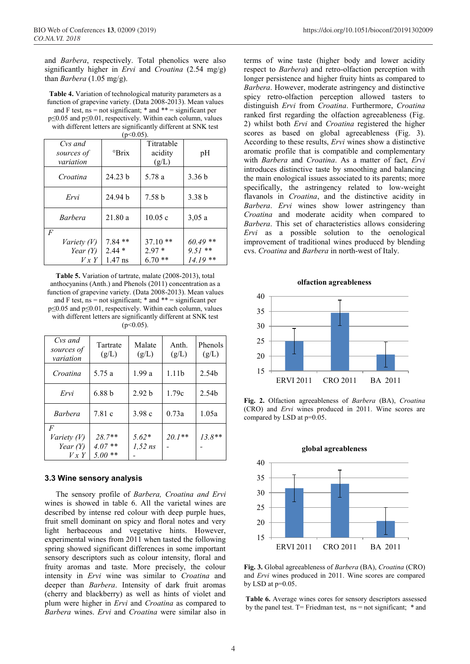and *Barbera*, respectively. Total phenolics were also significantly higher in *Ervi* and *Croatina* (2.54 mg/g) than *Barbera* (1.05 mg/g).

**Table 4.** Variation of technological maturity parameters as a function of grapevine variety. (Data 2008-2013). Mean values and F test,  $ns = not significant; * and ** = significant per$ p≤0.05 and p≤0.01, respectively. Within each column, values with different letters are significantly different at SNK test  $(20.05)$ 

| (D-0.02).                          |                    |                                |                   |  |  |  |
|------------------------------------|--------------------|--------------------------------|-------------------|--|--|--|
| Cys and<br>sources of<br>variation | $\mathrm{Prix}$    | Titratable<br>acidity<br>(g/L) | pH                |  |  |  |
| Croatina                           | 24.23 <sub>b</sub> | 5.78 a                         | 3.36 <sub>b</sub> |  |  |  |
| Ervi                               | 24.94 <sub>b</sub> | 7.58 <sub>b</sub>              | 3.38 <sub>b</sub> |  |  |  |
| <i>Barbera</i>                     | 21.80a             | 10.05c                         | 3,05a             |  |  |  |
| F                                  |                    |                                |                   |  |  |  |
| <i>Variety (V)</i>                 | $7.84**$           | $37.10**$                      | $60.49**$         |  |  |  |
| Year $(Y)$                         | $2.44*$            | $2.97*$                        | $9.51**$          |  |  |  |
| V x Y                              | $1.47$ ns          | $6.70**$                       | $14.19**$         |  |  |  |

**Table 5.** Variation of tartrate, malate (2008-2013), total anthocyanins (Anth.) and Phenols (2011) concentration as a function of grapevine variety. (Data 2008-2013). Mean values and F test,  $ns = not significant; * and ** = significant per$ p≤0.05 and p≤0.01, respectively. Within each column, values with different letters are significantly different at SNK test  $(p<0.05)$ .

| Cvs and<br>sources of<br>variation      | Tartrate<br>(g/L)              | Malate<br>(g/L)      | Anth.<br>(g/L)    | Phenols<br>(g/L)  |
|-----------------------------------------|--------------------------------|----------------------|-------------------|-------------------|
| Croatina                                | 5.75 a                         | 1.99a                | 1.11 <sub>b</sub> | 2.54 <sub>b</sub> |
| Ervi                                    | 6.88 <sub>b</sub>              | 2.92 <sub>b</sub>    | 1.79c             | 2.54 <sub>b</sub> |
| <b>Barbera</b>                          | 7.81 c                         | 3.98c                | 0.73a             | 1.05a             |
| F<br>Variety (V)<br>Year $(Y)$<br>V x Y | 28.7**<br>$4.07**$<br>$5.00**$ | $5.62*$<br>$1.52$ ns | $20.1**$          | $13.8**$          |

#### **3.3 Wine sensory analysis**

The sensory profile of *Barbera, Croatina and Ervi* wines is showed in table 6. All the varietal wines are described by intense red colour with deep purple hues, fruit smell dominant on spicy and floral notes and very light herbaceous and vegetative hints. However, experimental wines from 2011 when tasted the following spring showed significant differences in some important sensory descriptors such as colour intensity, floral and fruity aromas and taste. More precisely, the colour intensity in *Ervi* wine was similar to *Croatina* and deeper than *Barbera*. Intensity of dark fruit aromas (cherry and blackberry) as well as hints of violet and plum were higher in *Ervi* and *Croatina* as compared to *Barbera* wines. *Ervi* and *Croatina* were similar also in terms of wine taste (higher body and lower acidity respect to *Barbera*) and retro-olfaction perception with longer persistence and higher fruity hints as compared to *Barbera*. However, moderate astringency and distinctive spicy retro-olfaction perception allowed tasters to distinguish *Ervi* from *Croatina*. Furthermore, *Croatina* ranked first regarding the olfaction agreeableness (Fig. 2) whilst both *Ervi* and *Croatina* registered the higher scores as based on global agreeableness (Fig. 3). According to these results, *Ervi* wines show a distinctive aromatic profile that is compatible and complementary with *Barbera* and *Croatina*. As a matter of fact, *Ervi* introduces distinctive taste by smoothing and balancing the main enological issues associated to its parents; more specifically, the astringency related to low-weight flavanols in *Croatina*, and the distinctive acidity in *Barbera*. *Ervi* wines show lower astringency than *Croatina* and moderate acidity when compared to *Barbera*. This set of characteristics allows considering *Ervi* as a possible solution to the oenological improvement of traditional wines produced by blending cvs. *Croatina* and *Barbera* in north-west of Italy.





**Fig. 2.** Olfaction agreeableness of *Barbera* (BA), *Croatina* (CRO) and *Ervi* wines produced in 2011. Wine scores are compared by LSD at p=0.05.



**Fig. 3.** Global agreeableness of *Barbera* (BA), *Croatina* (CRO) and *Ervi* wines produced in 2011. Wine scores are compared by LSD at p=0.05.

**Table 6.** Average wines cores for sensory descriptors assessed by the panel test. T= Friedman test, ns = not significant; \* and